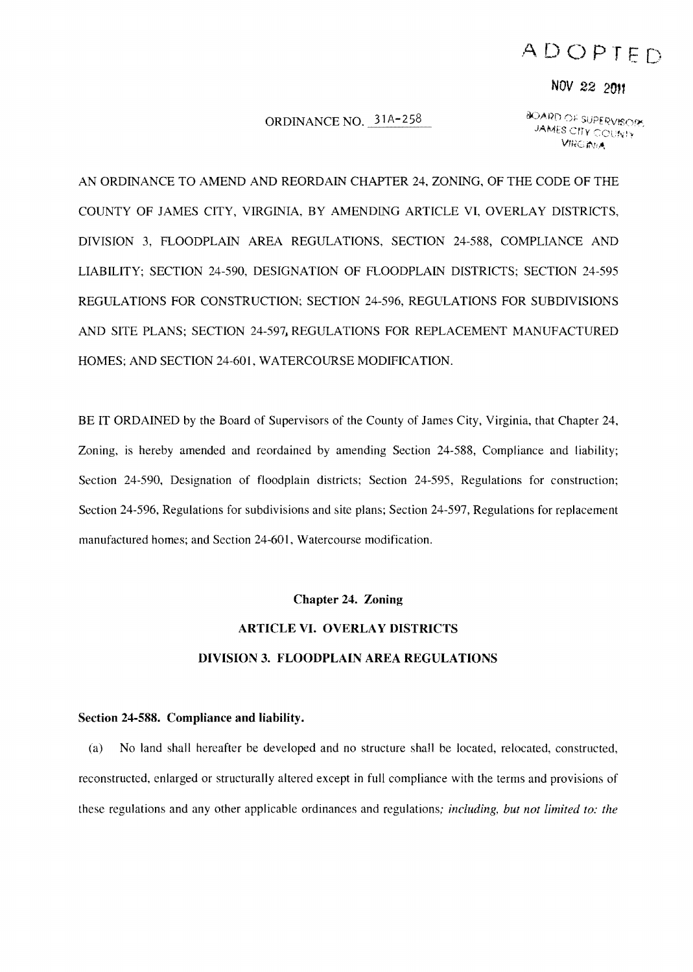## ADOPTED

## *NOV* 22 2017

#### ORDINANCE NO. 31A-258

**BOARD OF SUPERVISORS JAMES CITY COUNTY VIRGINEA** 

AN ORDINANCE TO AMEND AND REORDAIN CHAPTER 24, ZONING, OF THE CODE OF THE COUNTY OF JAMES CITY, VIRGINIA, BY AMENDING ARTICLE VI, OVERLAY DISTRICTS, DIVISION 3, FLOODPLAIN AREA REGULATIONS, SECTION 24-588, COMPLIANCE AND LIABILITY; SECTION 24-590, DESIGNATION OF FLOODPLAIN DISTRICTS; SECTION 24-595 REGULATIONS FOR CONSTRUCTION; SECTION 24-596, REGULATIONS FOR SUBDIVISIONS AND SITE PLANS; SECTION 24-597, REGULATIONS FOR REPLACEMENT MANUFACTURED HOMES; AND SECTION 24-601, WATERCOURSE MODIFICATION.

BE IT ORDAINED by the Board of Supervisors of the County of James City, Virginia, that Chapter 24, Zoning, is hereby amended and reordained by amending Section 24-588, Compliance and liability; Section 24-590, Designation of floodplain districts; Section 24-595, Regulations for construction; Section 24-596, Regulations for subdivisions and site plans; Section 24-597, Regulations for replacement manufactured homes; and Section 24-601, Watercourse modification.

#### Chapter 24. Zoning

# ARTICLE VI. OVERLAY DISTRICTS **DIVISION** 3. FLOODPLAIN AREA REGULATIONS

#### Section 24-588. Compliance and Iiahility.

(a) No land shall hereafter be developed and no structure shall be located, relocated, constructed, reconstructed, enlarged or structurally altered except in full compliance with the terms and provisions of these regulations and any other applicable ordinances and regulations; *including, but not limited to: the*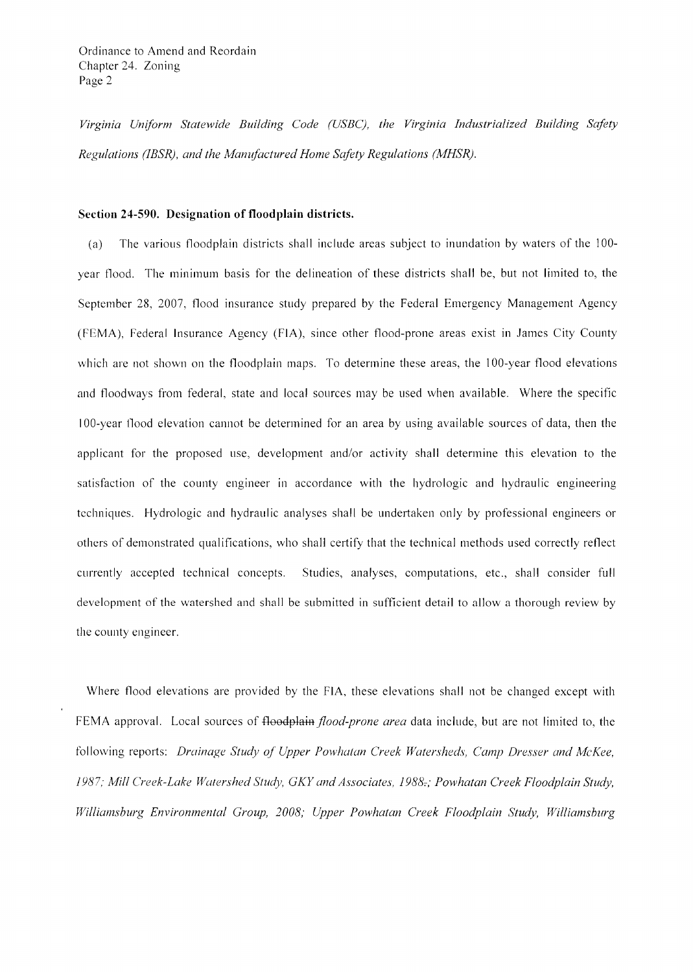*Virginia Uniform Statewide Building Code (USBCj, the Virginia Industrialized Building Safety Regulations (IBSR)* , *and the Mamifactured Home Safety Regulations (MHSR).* 

#### **Section 24-590. Designation of floodplain districts.**

(a) The various floodplain districts shall include areas subject to inundation by waters of the 100 year flood. The minimum basis for the delineation of these districts shall be, but not limited to, the September 28, 2007, flood insurance study prepared by the Federal Emergency Management Agency (FEMA), Federal Insurance Agency (FIA), since other flood-prone areas exist in James City County which are not shown on the floodplain maps. To determine these areas, the 100-year flood elevations and floodways from federal, state and local sources may be used when available. Where the specific 100-year 1l00d elevation cannot be determined for an area by using available sources of data, then the applicant for the proposed use, development and/or activity shall determine this elevation to the satisfaction of the county engineer in accordance with the hydrologic and hydraulic engineering techniques. Hydrologic and hydraulic analyses shall be undertaken only by professional engineers or others of demonstrated qualifications, who shall certify that the technical methods used correctly reflect currently accepted technical concepts. Studies, analyses, computations, etc., shall consider full development of the watershed and shall be submitted in sufficient detail to allow a thorough review by the county engineer.

Where flood elevations are provided by the FIA, these elevations shall not be changed except with FEMA approval. Local sources of floodplain *flood-prone area* data include, but are not limited to, the following reports: *Drainage Study of Upper Powhatan Creek Watersheds, Camp Dresser and McKee,*  1987; Mill Creek-Lake Watershed Study, GKY and Associates, 1988-; Powhatan Creek Floodplain Study, *Williamsburg Environmental Group, 2008; Upper Powhatan Creek Floodplain Study, Williamsburg*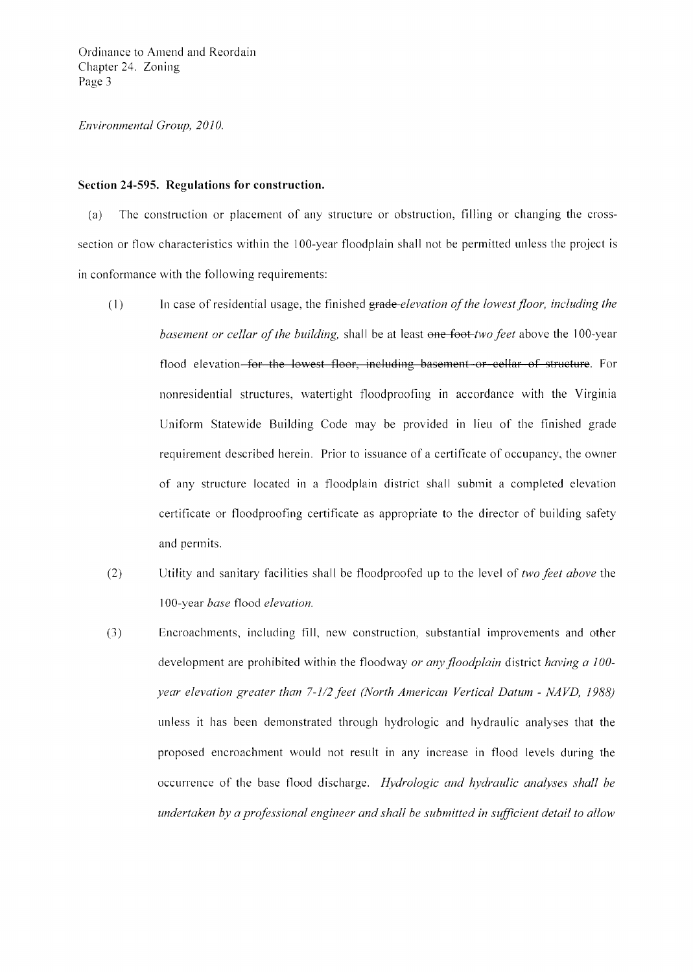#### *Environmental Group, 2010.*

#### **Section 24-595. Regulations for construction.**

(a) The construction or placement of any structure or obstruction, filling or changing the crosssection or flow characteristics within the IOO-year floodplain shall not be permitted unless the project is in conformance with the following requirements:

- (1) In case of residential usage, the finished grade-elevation of the lowest floor, including the *basement or cellar ofthe building,* shall be at least one foot *two feet* above the 100-year flood elevation–for the lowest floor, including basement or cellar of structure. For nonresidential structures, watertight flood proofing in accordance with the Virginia Uniform Statewide Building Code may be provided in lieu of the finished grade requirement described herein. Prior to issuance of a certificate of occupancy, the owner of any structure located in a floodplain district shall submit a completed elevation certificate or floodproofing certificate as appropriate to the director of building safety and permits.
- (2) Utility and sanitary facilities shall be floodproofed up to the level of *two feet above* the 1 OO-year *base* flood *elevation.*
- (3) Encroachments, including fill, new construction, substantial improvements and other development are prohibited within the floodway *or any floodplain* district *having a 100 year elevation greater than 7-1/2 feet (North American Vertical Datum - NAVD, 1988)* unless it has been demonstrated through hydrologic and hydraulic analyses that the proposed encroachment would not result in any increase in flood levels during the occurrence of the base flood discharge. *Hydrologic and hydraulic analyses shall be undertaken by a professional engineer and shall be submitted in sufficient detail to allow*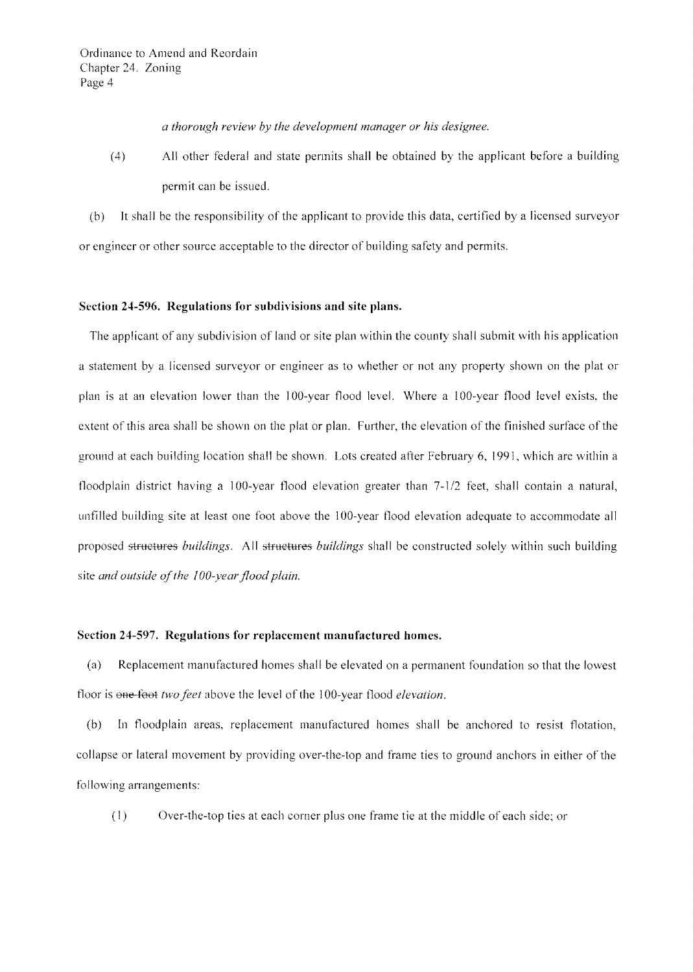*a thorough review by the development manager or his designee.* 

(4) All other federal and state permits shall be obtained by the applicant before a building permit can be issued.

(b) **It** shall be the responsibility of the applicant to provide this data, certified by a licensed surveyor or engineer or other source acceptable to the director of building safety and permits.

#### Section 24-596. Regulations for subdivisions and site plans.

The applicant of any subdivision of land or site plan within the county shall submit with his application a statement by a Iicensed surveyor or engineer as to whether or not any property shown on the plat or plan is at an elevation lower than the IOO-year flood level. Where a IOO-year flood level exists, the extent of this area shall be shown on the plat or plan. Further, the elevation of the finished surface of the ground at each building location shall be shown. Lots created after February 6, 1991, which are within a floodplain district having a 100-year flood elevation greater than 7-1/2 feet, shall contain a natural, unfilled building site at least one foot above the 100-year flood elevation adequate to accommodate all proposed structures *buildings.* All structures *buildings* shall be constructed solely within such building site *and outside of the 100-year flood plain*.

#### **Section 24-597. Regulations for replacement manufactured homes.**

(a) Replacement manufactured homes shall be elevated on a permanent foundation so that the lowest floor is one-foot *two feet* above the level of the 100-year flood *elevation*.

(b) In floodplain areas, replacement manufactured homes shall be anchored to resist flotation, collapse or lateral movement by providing over-the-top and frame ties to ground anchors in either of the following arrangements:

(1) Over-the-top ties at each corner plus one frame tie at the middle of each side; or